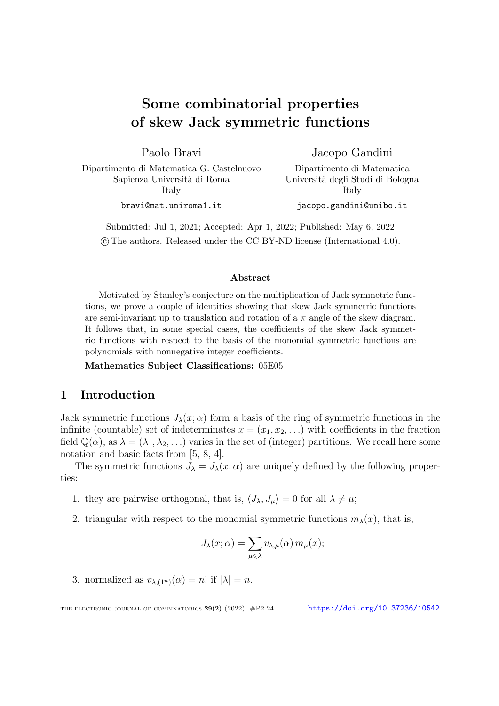# Some combinatorial properties of skew Jack symmetric functions

Paolo Bravi

Jacopo Gandini Dipartimento di Matematica

Dipartimento di Matematica G. Castelnuovo Sapienza Universit`a di Roma Italy

bravi@mat.uniroma1.it

Universit`a degli Studi di Bologna Italy

jacopo.gandini@unibo.it

Submitted: Jul 1, 2021; Accepted: Apr 1, 2022; Published: May 6, 2022 ©c The authors. Released under the CC BY-ND license (International 4.0).

# Abstract

Motivated by Stanley's conjecture on the multiplication of Jack symmetric functions, we prove a couple of identities showing that skew Jack symmetric functions are semi-invariant up to translation and rotation of a  $\pi$  angle of the skew diagram. It follows that, in some special cases, the coefficients of the skew Jack symmetric functions with respect to the basis of the monomial symmetric functions are polynomials with nonnegative integer coefficients.

Mathematics Subject Classifications: 05E05

# 1 Introduction

Jack symmetric functions  $J_{\lambda}(x;\alpha)$  form a basis of the ring of symmetric functions in the infinite (countable) set of indeterminates  $x = (x_1, x_2, \ldots)$  with coefficients in the fraction field  $\mathbb{Q}(\alpha)$ , as  $\lambda = (\lambda_1, \lambda_2, \ldots)$  varies in the set of (integer) partitions. We recall here some notation and basic facts from [[5](#page-19-0), [8](#page-19-1), [4](#page-19-2)].

The symmetric functions  $J_{\lambda} = J_{\lambda}(x; \alpha)$  are uniquely defined by the following properties:

- 1. they are pairwise orthogonal, that is,  $\langle J_{\lambda}, J_{\mu} \rangle = 0$  for all  $\lambda \neq \mu$ ;
- 2. triangular with respect to the monomial symmetric functions  $m_{\lambda}(x)$ , that is,

$$
J_{\lambda}(x;\alpha) = \sum_{\mu \leq \lambda} v_{\lambda,\mu}(\alpha) m_{\mu}(x);
$$

3. normalized as  $v_{\lambda,(1^n)}(\alpha) = n!$  if  $|\lambda| = n$ .

THE ELECTRONIC JOURNAL OF COMBINATORICS  $29(2)$   $(2022)$ ,  $\#P2.24$  <https://doi.org/10.37236/10542>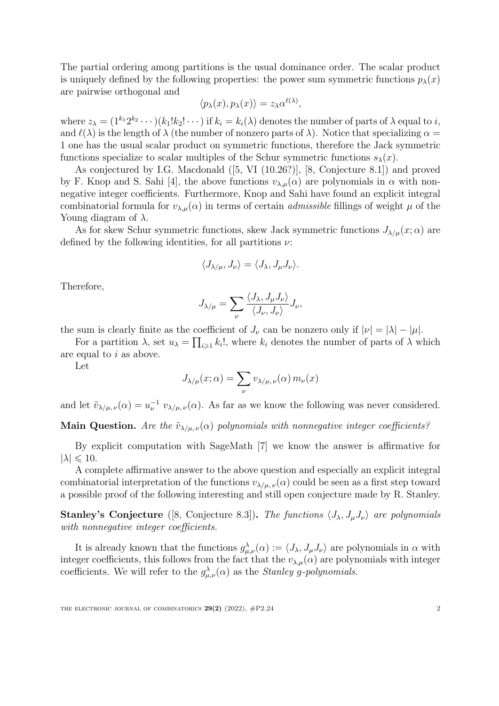The partial ordering among partitions is the usual dominance order. The scalar product is uniquely defined by the following properties: the power sum symmetric functions  $p_\lambda(x)$ are pairwise orthogonal and

$$
\langle p_{\lambda}(x), p_{\lambda}(x) \rangle = z_{\lambda} \alpha^{\ell(\lambda)},
$$

where  $z_{\lambda} = (1^{k_1} 2^{k_2} \cdots)(k_1! k_2! \cdots)$  if  $k_i = k_i(\lambda)$  denotes the number of parts of  $\lambda$  equal to *i*, and  $\ell(\lambda)$  is the length of  $\lambda$  (the number of nonzero parts of  $\lambda$ ). Notice that specializing  $\alpha =$ 1 one has the usual scalar product on symmetric functions, therefore the Jack symmetric functions specialize to scalar multiples of the Schur symmetric functions  $s_{\lambda}(x)$ .

As conjectured by I.G. Macdonald ([\[5](#page-19-0), VI (10.26?)], [\[8](#page-19-1), Conjecture 8.1]) and proved by F. Knop and S. Sahi [\[4\]](#page-19-2), the above functions  $v_{\lambda,\mu}(\alpha)$  are polynomials in  $\alpha$  with nonnegative integer coefficients. Furthermore, Knop and Sahi have found an explicit integral combinatorial formula for  $v_{\lambda,\mu}(\alpha)$  in terms of certain *admissible* fillings of weight  $\mu$  of the Young diagram of  $\lambda$ .

As for skew Schur symmetric functions, skew Jack symmetric functions  $J_{\lambda/\mu}(x;\alpha)$  are defined by the following identities, for all partitions  $\nu$ :

$$
\langle J_{\lambda/\mu}, J_{\nu} \rangle = \langle J_{\lambda}, J_{\mu} J_{\nu} \rangle.
$$

Therefore,

$$
J_{\lambda/\mu} = \sum_{\nu} \frac{\langle J_{\lambda}, J_{\mu} J_{\nu} \rangle}{\langle J_{\nu}, J_{\nu} \rangle} J_{\nu},
$$

the sum is clearly finite as the coefficient of  $J_{\nu}$  can be nonzero only if  $|\nu| = |\lambda| - |\mu|$ .

For a partition  $\lambda$ , set  $u_{\lambda} = \prod_{i \geq 1} k_i!$ , where  $k_i$  denotes the number of parts of  $\lambda$  which are equal to *i* as above.

Let

$$
J_{\lambda/\mu}(x;\alpha) = \sum_{\nu} v_{\lambda/\mu,\nu}(\alpha) m_{\nu}(x)
$$

and let  $\tilde{v}_{\lambda/\mu,\nu}(\alpha) = u_{\nu}^{-1} v_{\lambda/\mu,\nu}(\alpha)$ . As far as we know the following was never considered.

**Main Question.** *Are the*  $\tilde{v}_{\lambda/\mu,\nu}(\alpha)$  *polynomials with nonnegative integer coefficients?* 

By explicit computation with SageMath [\[7](#page-19-3)] we know the answer is affirmative for  $|\lambda| \leqslant 10$ .

A complete affirmative answer to the above question and especially an explicit integral combinatorial interpretation of the functions  $v_{\lambda/\mu,\nu}(\alpha)$  could be seen as a first step toward a possible proof of the following interesting and still open conjecture made by R. Stanley.

**Stanley's Conjecture** ([[8,](#page-19-1) Conjecture 8.3]). The functions  $\langle J_{\lambda}, J_{\mu}J_{\nu} \rangle$  are polynomials *with nonnegative integer coe*ffi*cients.*

It is already known that the functions  $g_{\mu,\nu}^{\lambda}(\alpha) := \langle J_{\lambda}, J_{\mu} J_{\nu} \rangle$  are polynomials in  $\alpha$  with integer coefficients, this follows from the fact that the  $v_{\lambda,\mu}(\alpha)$  are polynomials with integer coefficients. We will refer to the  $g_{\mu,\nu}^{\lambda}(\alpha)$  as the *Stanley g-polynomials*.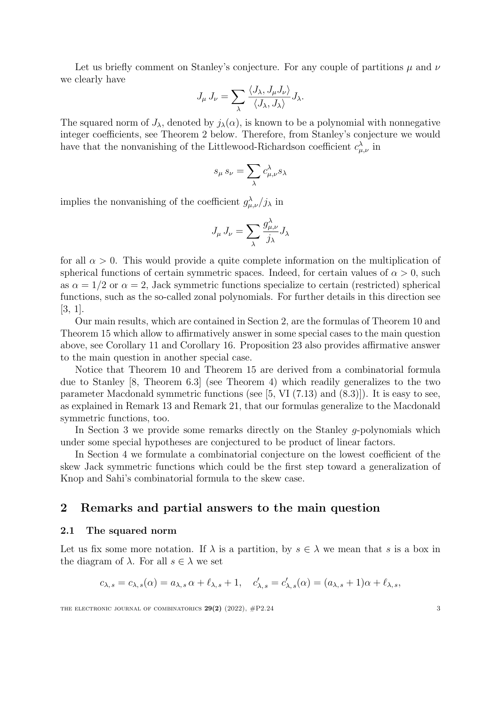Let us briefly comment on Stanley's conjecture. For any couple of partitions  $\mu$  and  $\nu$ we clearly have

$$
J_{\mu} J_{\nu} = \sum_{\lambda} \frac{\langle J_{\lambda}, J_{\mu} J_{\nu} \rangle}{\langle J_{\lambda}, J_{\lambda} \rangle} J_{\lambda}.
$$

The squared norm of  $J_{\lambda}$ , denoted by  $j_{\lambda}(\alpha)$ , is known to be a polynomial with nonnegative integer coefficients, see Theorem [2](#page-3-0) below. Therefore, from Stanley's conjecture we would have that the nonvanishing of the Littlewood-Richardson coefficient  $c^{\lambda}_{\mu,\nu}$  in

$$
s_\mu\,s_\nu=\sum_\lambda c_{\mu,\nu}^\lambda s_\lambda
$$

implies the nonvanishing of the coefficient  $g_{\mu,\nu}^{\lambda}/j_{\lambda}$  in

$$
J_{\mu} J_{\nu} = \sum_{\lambda} \frac{g_{\mu,\nu}^{\lambda}}{j_{\lambda}} J_{\lambda}
$$

for all  $\alpha > 0$ . This would provide a quite complete information on the multiplication of spherical functions of certain symmetric spaces. Indeed, for certain values of  $\alpha > 0$ , such as  $\alpha = 1/2$  or  $\alpha = 2$ , Jack symmetric functions specialize to certain (restricted) spherical functions, such as the so-called zonal polynomials. For further details in this direction see [\[3](#page-19-4), [1](#page-19-5)].

Our main results, which are contained in Section [2](#page-2-0), are the formulas of Theorem [10](#page-7-0) and Theorem [15](#page-9-0) which allow to affirmatively answer in some special cases to the main question above, see Corollary [11](#page-7-1) and Corollary [16](#page-9-1). Proposition [23](#page-14-0) also provides affirmative answer to the main question in another special case.

Notice that Theorem [10](#page-7-0) and Theorem [15](#page-9-0) are derived from a combinatorial formula due to Stanley [\[8](#page-19-1), Theorem 6.3] (see Theorem [4\)](#page-4-0) which readily generalizes to the two parameter Macdonald symmetric functions (see [[5,](#page-19-0) VI (7.13) and (8.3)]). It is easy to see, as explained in Remark [13](#page-8-0) and Remark [21](#page-14-1), that our formulas generalize to the Macdonald symmetric functions, too.

In Section [3](#page-15-0) we provide some remarks directly on the Stanley *g*-polynomials which under some special hypotheses are conjectured to be product of linear factors.

In Section [4](#page-18-0) we formulate a combinatorial conjecture on the lowest coefficient of the skew Jack symmetric functions which could be the first step toward a generalization of Knop and Sahi's combinatorial formula to the skew case.

# <span id="page-2-0"></span>2 Remarks and partial answers to the main question

# 2.1 The squared norm

Let us fix some more notation. If  $\lambda$  is a partition, by  $s \in \lambda$  we mean that *s* is a box in the diagram of  $\lambda$ . For all  $s \in \lambda$  we set

$$
c_{\lambda,s} = c_{\lambda,s}(\alpha) = a_{\lambda,s} \alpha + \ell_{\lambda,s} + 1, \quad c'_{\lambda,s} = c'_{\lambda,s}(\alpha) = (a_{\lambda,s} + 1)\alpha + \ell_{\lambda,s},
$$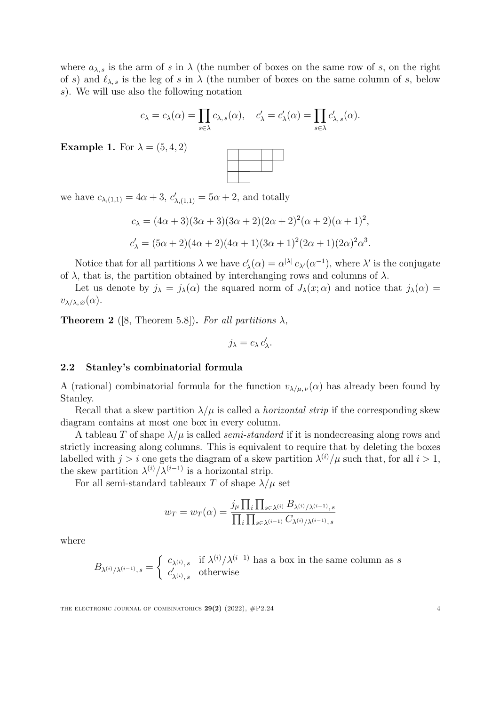where  $a_{\lambda,s}$  is the arm of *s* in  $\lambda$  (the number of boxes on the same row of *s*, on the right of *s*) and  $\ell_{\lambda,s}$  is the leg of *s* in  $\lambda$  (the number of boxes on the same column of *s*, below *s*). We will use also the following notation

$$
c_{\lambda} = c_{\lambda}(\alpha) = \prod_{s \in \lambda} c_{\lambda, s}(\alpha), \quad c'_{\lambda} = c'_{\lambda}(\alpha) = \prod_{s \in \lambda} c'_{\lambda, s}(\alpha).
$$

**Example 1.** For  $\lambda = (5, 4, 2)$ 



we have  $c_{\lambda,(1,1)} = 4\alpha + 3$ ,  $c'_{\lambda,(1,1)} = 5\alpha + 2$ , and totally

$$
c_{\lambda} = (4\alpha + 3)(3\alpha + 3)(3\alpha + 2)(2\alpha + 2)^{2}(\alpha + 2)(\alpha + 1)^{2},
$$
  
\n
$$
c'_{\lambda} = (5\alpha + 2)(4\alpha + 2)(4\alpha + 1)(3\alpha + 1)^{2}(2\alpha + 1)(2\alpha)^{2}\alpha^{3}.
$$

Notice that for all partitions  $\lambda$  we have  $c'_{\lambda}(\alpha) = \alpha^{|\lambda|} c_{\lambda'}(\alpha^{-1})$ , where  $\lambda'$  is the conjugate of  $\lambda$ , that is, the partition obtained by interchanging rows and columns of  $\lambda$ .

Let us denote by  $j_{\lambda} = j_{\lambda}(\alpha)$  the squared norm of  $J_{\lambda}(x;\alpha)$  and notice that  $j_{\lambda}(\alpha) =$  $v_{\lambda/\lambda,\varnothing}(\alpha)$ .

<span id="page-3-0"></span>**Theorem 2** ([\[8,](#page-19-1) Theorem 5.8]). *For all partitions*  $\lambda$ ,

$$
j_{\lambda}=c_{\lambda}c'_{\lambda}.
$$

## 2.2 Stanley's combinatorial formula

A (rational) combinatorial formula for the function  $v_{\lambda/\mu,\nu}(\alpha)$  has already been found by Stanley.

Recall that a skew partition  $\lambda/\mu$  is called a *horizontal strip* if the corresponding skew diagram contains at most one box in every column.

A tableau *T* of shape  $\lambda/\mu$  is called *semi-standard* if it is nondecreasing along rows and strictly increasing along columns. This is equivalent to require that by deleting the boxes labelled with  $j > i$  one gets the diagram of a skew partition  $\lambda^{(i)}/\mu$  such that, for all  $i > 1$ , the skew partition  $\lambda^{(i)}/\lambda^{(i-1)}$  is a horizontal strip.

For all semi-standard tableaux *T* of shape  $\lambda/\mu$  set

$$
w_T = w_T(\alpha) = \frac{j_\mu \prod_i \prod_{s \in \lambda^{(i)}} B_{\lambda^{(i)}/\lambda^{(i-1)},s}}{\prod_i \prod_{s \in \lambda^{(i-1)}} C_{\lambda^{(i)}/\lambda^{(i-1)},s}}
$$

where

$$
B_{\lambda^{(i)}/\lambda^{(i-1)},s}=\left\{\begin{array}{ll} c_{\lambda^{(i)},s} & \text{if } \lambda^{(i)}/\lambda^{(i-1)} \text{ has a box in the same column as } s\\ c'_{\lambda^{(i)},s} & \text{otherwise} \end{array}\right.
$$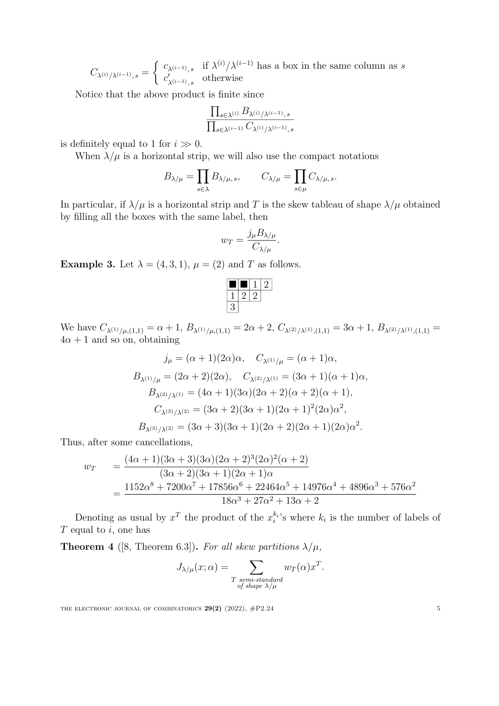$C_{\lambda^{(i)}/\lambda^{(i-1)},s} =$  $\int c_{\lambda^{(i-1)},s}$  if  $\lambda^{(i)}/\lambda^{(i-1)}$  has a box in the same column as *s*  $c'_{\lambda^{(i-1)},s}$  otherwise

Notice that the above product is finite since

$$
\frac{\prod_{s\in\lambda^{(i)}}B_{\lambda^{(i)}/\lambda^{(i-1)},s}}{\prod_{s\in\lambda^{(i-1)}}C_{\lambda^{(i)}/\lambda^{(i-1)},s}}
$$

is definitely equal to 1 for  $i \gg 0$ .

When  $\lambda/\mu$  is a horizontal strip, we will also use the compact notations

$$
B_{\lambda/\mu}=\prod_{s\in\lambda}B_{\lambda/\mu,\,s},\qquad C_{\lambda/\mu}=\prod_{s\in\mu}C_{\lambda/\mu,\,s}.
$$

In particular, if  $\lambda/\mu$  is a horizontal strip and T is the skew tableau of shape  $\lambda/\mu$  obtained by filling all the boxes with the same label, then

$$
w_T = \frac{j_{\mu} B_{\lambda/\mu}}{C_{\lambda/\mu}}.
$$

**Example 3.** Let  $\lambda = (4, 3, 1), \mu = (2)$  and *T* as follows.

$$
\begin{array}{c|c|c|c|c} \hline \blacksquare & 1 & 2 \\ \hline 1 & 2 & 2 \\ \hline 3 & & & \end{array}
$$

We have  $C_{\lambda^{(1)}/\mu,(1,1)} = \alpha + 1$ ,  $B_{\lambda^{(1)}/\mu,(1,1)} = 2\alpha + 2$ ,  $C_{\lambda^{(2)}/\lambda^{(1)},(1,1)} = 3\alpha + 1$ ,  $B_{\lambda^{(2)}/\lambda^{(1)},(1,1)} =$  $4\alpha + 1$  and so on, obtaining

$$
j_{\mu} = (\alpha + 1)(2\alpha)\alpha, \quad C_{\lambda^{(1)}/\mu} = (\alpha + 1)\alpha,
$$
  
\n
$$
B_{\lambda^{(1)}/\mu} = (2\alpha + 2)(2\alpha), \quad C_{\lambda^{(2)}/\lambda^{(1)}} = (3\alpha + 1)(\alpha + 1)\alpha,
$$
  
\n
$$
B_{\lambda^{(2)}/\lambda^{(1)}} = (4\alpha + 1)(3\alpha)(2\alpha + 2)(\alpha + 2)(\alpha + 1),
$$
  
\n
$$
C_{\lambda^{(3)}/\lambda^{(2)}} = (3\alpha + 2)(3\alpha + 1)(2\alpha + 1)^{2}(2\alpha)\alpha^{2},
$$
  
\n
$$
B_{\lambda^{(3)}/\lambda^{(2)}} = (3\alpha + 3)(3\alpha + 1)(2\alpha + 2)(2\alpha + 1)(2\alpha)\alpha^{2}.
$$

Thus, after some cancellations,

$$
w_T = \frac{(4\alpha + 1)(3\alpha + 3)(3\alpha)(2\alpha + 2)^3(2\alpha)^2(\alpha + 2)}{(3\alpha + 2)(3\alpha + 1)(2\alpha + 1)\alpha}
$$
  
= 
$$
\frac{1152\alpha^8 + 7200\alpha^7 + 17856\alpha^6 + 22464\alpha^5 + 14976\alpha^4 + 4896\alpha^3 + 576\alpha^2}{18\alpha^3 + 27\alpha^2 + 13\alpha + 2}
$$

Denoting as usual by  $x^T$  the product of the  $x_i^{k_i}$ 's where  $k_i$  is the number of labels of *T* equal to *i*, one has

<span id="page-4-0"></span>**Theorem 4** ([\[8,](#page-19-1) Theorem 6.3]). *For all skew partitions*  $\lambda/\mu$ ,

$$
J_{\lambda/\mu}(x;\alpha) = \sum_{\substack{T \text{ semi-standard} \\ \text{ of shape } \lambda/\mu}} w_T(\alpha) x^T.
$$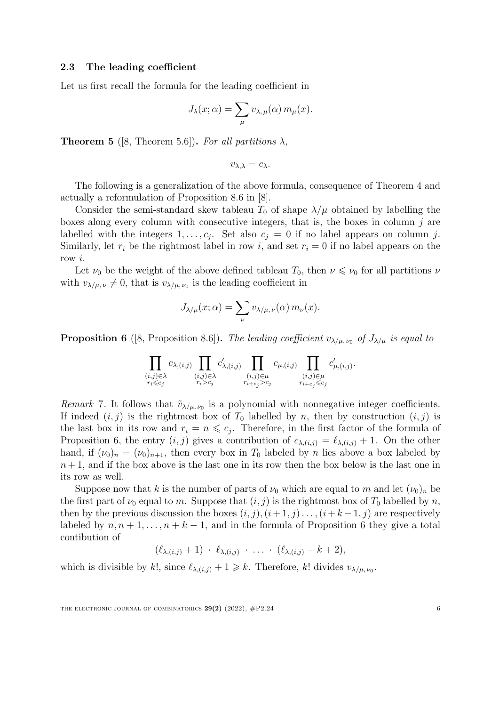# 2.3 The leading coefficient

Let us first recall the formula for the leading coefficient in

$$
J_{\lambda}(x;\alpha) = \sum_{\mu} v_{\lambda,\mu}(\alpha) m_{\mu}(x).
$$

**Theorem 5** ([\[8,](#page-19-1) Theorem 5.6]). *For all partitions*  $\lambda$ *,* 

$$
v_{\lambda,\lambda}=c_\lambda.
$$

The following is a generalization of the above formula, consequence of Theorem [4](#page-4-0) and actually a reformulation of Proposition 8.6 in [\[8](#page-19-1)].

Consider the semi-standard skew tableau  $T_0$  of shape  $\lambda/\mu$  obtained by labelling the boxes along every column with consecutive integers, that is, the boxes in column *j* are labelled with the integers  $1, \ldots, c_j$ . Set also  $c_j = 0$  if no label appears on column *j*. Similarly, let  $r_i$  be the rightmost label in row *i*, and set  $r_i = 0$  if no label appears on the row *i*.

Let  $\nu_0$  be the weight of the above defined tableau  $T_0$ , then  $\nu \leq \nu_0$  for all partitions  $\nu$ with  $v_{\lambda/\mu,\nu} \neq 0$ , that is  $v_{\lambda/\mu,\nu_0}$  is the leading coefficient in

$$
J_{\lambda/\mu}(x;\alpha) = \sum_{\nu} v_{\lambda/\mu,\nu}(\alpha) m_{\nu}(x).
$$

<span id="page-5-0"></span>**Proposition 6** ([[8,](#page-19-1) Proposition 8.6]). *The leading coefficient*  $v_{\lambda/\mu, \nu_0}$  *of*  $J_{\lambda/\mu}$  *is equal to* 

$$
\prod_{\substack{(i,j)\in\lambda\\r_i\leqslant c_j}}c_{\lambda,(i,j)}\prod_{\substack{(i,j)\in\lambda\\(i,j)\in\mu\\r_i>c_j}}c'_{\lambda,(i,j)}\prod_{\substack{(i,j)\in\mu\\r_{i+c_j}>c_j}}c_{\mu,(i,j)}\prod_{\substack{(i,j)\in\mu\\(i,j)\in\mu\\r_{i+c_j}\leqslant c_j}}c'_{\mu,(i,j)}.
$$

*Remark* 7. It follows that  $\tilde{v}_{\lambda/\mu, \nu_0}$  is a polynomial with nonnegative integer coefficients. If indeed  $(i, j)$  is the rightmost box of  $T_0$  labelled by *n*, then by construction  $(i, j)$  is the last box in its row and  $r_i = n \leq c_j$ . Therefore, in the first factor of the formula of Proposition [6,](#page-5-0) the entry  $(i, j)$  gives a contribution of  $c_{\lambda, (i,j)} = \ell_{\lambda, (i,j)} + 1$ . On the other hand, if  $(\nu_0)_n = (\nu_0)_{n+1}$ , then every box in  $T_0$  labeled by *n* lies above a box labeled by  $n+1$ , and if the box above is the last one in its row then the box below is the last one in its row as well.

Suppose now that *k* is the number of parts of  $\nu_0$  which are equal to *m* and let  $(\nu_0)_n$  be the first part of  $\nu_0$  equal to *m*. Suppose that  $(i, j)$  is the rightmost box of  $T_0$  labelled by *n*, then by the previous discussion the boxes  $(i, j)$ ,  $(i+1, j)$ ...,  $(i+k-1, j)$  are respectively labeled by  $n, n+1, \ldots, n+k-1$ , and in the formula of Proposition [6](#page-5-0) they give a total contibution of

$$
(\ell_{\lambda,(i,j)}+1)\,\cdot\,\ell_{\lambda,(i,j)}\,\cdot\,\ldots\,\cdot\,(\ell_{\lambda,(i,j)}-k+2),
$$

which is divisible by k!, since  $\ell_{\lambda,(i,j)} + 1 \geq k$ . Therefore, k! divides  $v_{\lambda/\mu,\nu_0}$ .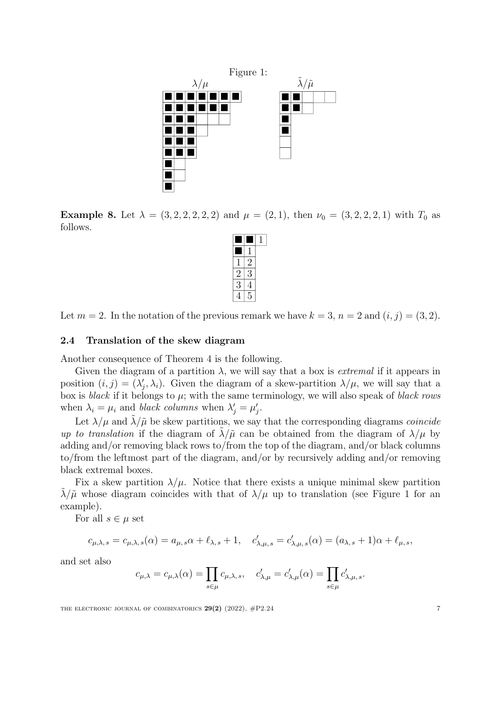<span id="page-6-0"></span>

Example 8. Let  $\lambda = (3, 2, 2, 2, 2, 2)$  and  $\mu = (2, 1)$ , then  $\nu_0 = (3, 2, 2, 2, 1)$  with  $T_0$  as follows.

|                          | ソ |  |
|--------------------------|---|--|
| $\overline{\mathcal{L}}$ | К |  |
| 3                        |   |  |
|                          |   |  |

Let  $m = 2$ . In the notation of the previous remark we have  $k = 3$ ,  $n = 2$  and  $(i, j) = (3, 2)$ .

# 2.4 Translation of the skew diagram

Another consequence of Theorem [4](#page-4-0) is the following.

Given the diagram of a partition  $\lambda$ , we will say that a box is *extremal* if it appears in position  $(i, j) = (\lambda'_j, \lambda_i)$ . Given the diagram of a skew-partition  $\lambda/\mu$ , we will say that a box is *black* if it belongs to *µ*; with the same terminology, we will also speak of *black rows* when  $\lambda_i = \mu_i$  and *black columns* when  $\lambda'_j = \mu'_j$ .

Let  $\lambda/\mu$  and  $\lambda/\tilde{\mu}$  be skew partitions, we say that the corresponding diagrams *coincide up to translation* if the diagram of  $\lambda/\tilde{\mu}$  can be obtained from the diagram of  $\lambda/\mu$  by adding and/or removing black rows to/from the top of the diagram, and/or black columns to/from the leftmost part of the diagram, and/or by recursively adding and/or removing black extremal boxes.

Fix a skew partition  $\lambda/\mu$ . Notice that there exists a unique minimal skew partition  $\lambda/\tilde{\mu}$  whose diagram coincides with that of  $\lambda/\mu$  up to translation (see Figure [1](#page-6-0) for an example).

For all  $s \in \mu$  set

$$
c_{\mu,\lambda,s} = c_{\mu,\lambda,s}(\alpha) = a_{\mu,s}\alpha + \ell_{\lambda,s} + 1, \quad c'_{\lambda,\mu,s} = c'_{\lambda,\mu,s}(\alpha) = (a_{\lambda,s} + 1)\alpha + \ell_{\mu,s},
$$

and set also

$$
c_{\mu,\lambda} = c_{\mu,\lambda}(\alpha) = \prod_{s \in \mu} c_{\mu,\lambda,s}, \quad c'_{\lambda,\mu} = c'_{\lambda,\mu}(\alpha) = \prod_{s \in \mu} c'_{\lambda,\mu,s}.
$$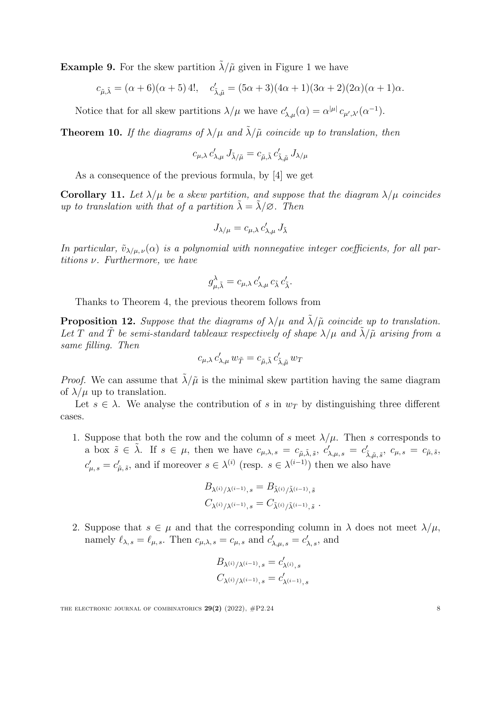**Example 9.** For the skew partition  $\lambda/\tilde{\mu}$  given in Figure [1](#page-6-0) we have

$$
c_{\tilde{\mu}, \tilde{\lambda}} = (\alpha + 6)(\alpha + 5) 4!, \quad c'_{\tilde{\lambda}, \tilde{\mu}} = (5\alpha + 3)(4\alpha + 1)(3\alpha + 2)(2\alpha)(\alpha + 1)\alpha.
$$

Notice that for all skew partitions  $\lambda/\mu$  we have  $c'_{\lambda,\mu}(\alpha) = \alpha^{|\mu|} c_{\mu',\lambda'}(\alpha^{-1}).$ 

<span id="page-7-0"></span>**Theorem 10.** If the diagrams of  $\lambda/\mu$  and  $\lambda/\tilde{\mu}$  coincide up to translation, then

$$
c_{\mu,\lambda} c'_{\lambda,\mu} J_{\tilde{\lambda}/\tilde{\mu}} = c_{\tilde{\mu},\tilde{\lambda}} c'_{\tilde{\lambda},\tilde{\mu}} J_{\lambda/\mu}
$$

As a consequence of the previous formula, by [\[4](#page-19-2)] we get

<span id="page-7-1"></span>Corollary 11. Let  $\lambda/\mu$  be a skew partition, and suppose that the diagram  $\lambda/\mu$  coincides *up to translation with that of a partition*  $\tilde{\lambda} = \tilde{\lambda}/\emptyset$ *. Then* 

$$
J_{\lambda/\mu} = c_{\mu,\lambda} c'_{\lambda,\mu} J_{\tilde{\lambda}}
$$

*In particular,*  $\tilde{v}_{\lambda/\mu,\nu}(\alpha)$  *is a polynomial with nonnegative integer coefficients, for all partitions* ν*. Furthermore, we have*

$$
g_{\mu,\tilde{\lambda}}^{\lambda} = c_{\mu,\lambda} c'_{\lambda,\mu} c_{\tilde{\lambda}} c'_{\tilde{\lambda}}.
$$

Thanks to Theorem [4](#page-4-0), the previous theorem follows from

**Proposition 12.** *Suppose that the diagrams of*  $\lambda/\mu$  *and*  $\lambda/\tilde{\mu}$  *coincide up to translation. Let T* and  $\hat{T}$  *be semi-standard tableaux respectively of shape*  $\lambda/\mu$  *and*  $\lambda/\tilde{\mu}$  *arising from a same filling. Then*

$$
c_{\mu,\lambda} c'_{\lambda,\mu} w_{\tilde{T}} = c_{\tilde{\mu},\tilde{\lambda}} c'_{\tilde{\lambda},\tilde{\mu}} w_T
$$

*Proof.* We can assume that  $\lambda/\tilde{\mu}$  is the minimal skew partition having the same diagram of  $\lambda/\mu$  up to translation.

Let  $s \in \lambda$ . We analyse the contribution of *s* in  $w_T$  by distinguishing three different cases.

1. Suppose that both the row and the column of *s* meet  $\lambda/\mu$ . Then *s* corresponds to a box  $\tilde{s} \in \tilde{\lambda}$ . If  $s \in \mu$ , then we have  $c_{\mu,\lambda,s} = c_{\tilde{\mu},\tilde{\lambda},\tilde{s}}$ ,  $c'_{\lambda,\mu,s} = c'_{\tilde{\lambda},\tilde{\mu},\tilde{s}}$ ,  $c_{\mu,s} = c_{\tilde{\mu},\tilde{s}}$ ,  $c'_{\mu,s} = c'_{\tilde{\mu},\tilde{s}}$ , and if moreover  $s \in \lambda^{(i)}$  (resp.  $s \in \lambda^{(i-1)}$ ) then we also have

$$
B_{\lambda^{(i)}/\lambda^{(i-1)},s} = B_{\tilde{\lambda}^{(i)}/\tilde{\lambda}^{(i-1)},\tilde{s}}
$$
  

$$
C_{\lambda^{(i)}/\lambda^{(i-1)},s} = C_{\tilde{\lambda}^{(i)}/\tilde{\lambda}^{(i-1)},\tilde{s}}.
$$

2. Suppose that  $s \in \mu$  and that the corresponding column in  $\lambda$  does not meet  $\lambda/\mu$ , namely  $\ell_{\lambda,s} = \ell_{\mu,s}$ . Then  $c_{\mu,\lambda,s} = c_{\mu,s}$  and  $c'_{\lambda,\mu,s} = c'_{\lambda,s}$ , and

$$
B_{\lambda^{(i)}/\lambda^{(i-1)},s} = c'_{\lambda^{(i)},s}
$$
  

$$
C_{\lambda^{(i)}/\lambda^{(i-1)},s} = c'_{\lambda^{(i-1)},s}
$$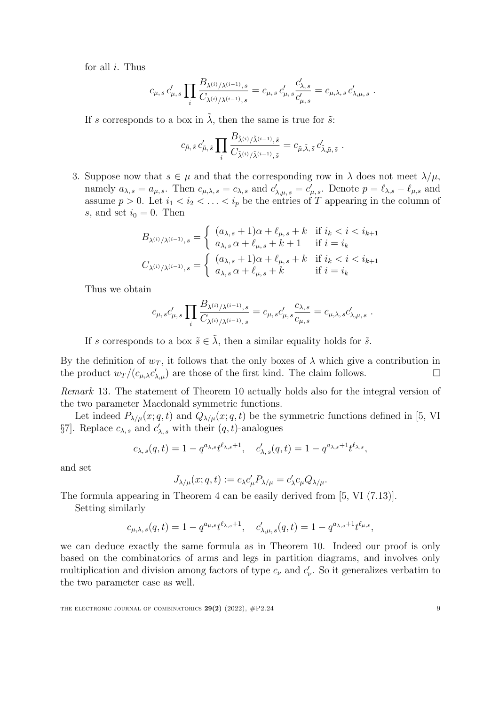for all *i*. Thus

$$
c_{\mu,s} c'_{\mu,s} \prod_i \frac{B_{\lambda^{(i)}/\lambda^{(i-1)},s}}{C_{\lambda^{(i)}/\lambda^{(i-1)},s}} = c_{\mu,s} c'_{\mu,s} \frac{c'_{\lambda,s}}{c'_{\mu,s}} = c_{\mu,\lambda,s} c'_{\lambda,\mu,s}.
$$

If *s* corresponds to a box in  $\tilde{\lambda}$ , then the same is true for  $\tilde{s}$ .

$$
c_{\tilde{\mu},\tilde{s}}\,c'_{\tilde{\mu},\tilde{s}}\prod_i\frac{B_{\tilde{\lambda}^{(i)}/\tilde{\lambda}^{(i-1)},\tilde{s}}}{C_{\tilde{\lambda}^{(i)}/\tilde{\lambda}^{(i-1)},\tilde{s}}}=c_{\tilde{\mu},\tilde{\lambda},\tilde{s}}\,c'_{\tilde{\lambda},\tilde{\mu},\tilde{s}}.
$$

3. Suppose now that  $s \in \mu$  and that the corresponding row in  $\lambda$  does not meet  $\lambda/\mu$ , namely  $a_{\lambda,s} = a_{\mu,s}$ . Then  $c_{\mu,\lambda,s} = c_{\lambda,s}$  and  $c'_{\lambda,\mu,s} = c'_{\mu,s}$ . Denote  $p = \ell_{\lambda,s} - \ell_{\mu,s}$  and assume  $p > 0$ . Let  $i_1 < i_2 < \ldots < i_p$  be the entries of *T* appearing in the column of *s*, and set  $i_0 = 0$ . Then

$$
\begin{aligned} B_{\lambda^{(i)}/\lambda^{(i-1)},s} &= \left\{ \begin{array}{ll} (a_{\lambda,s}+1)\alpha+\ell_{\mu,s}+k & \text{if } i_k < i < i_{k+1} \\ a_{\lambda,s}\alpha+\ell_{\mu,s}+k+1 & \text{if } i = i_k \\ C_{\lambda^{(i)}/\lambda^{(i-1)},s} &= \left\{ \begin{array}{ll} (a_{\lambda,s}+1)\alpha+\ell_{\mu,s}+k & \text{if } i_k < i < i_{k+1} \\ a_{\lambda,s}\alpha+\ell_{\mu,s}+k & \text{if } i = i_k \end{array} \right. \end{aligned} \right.
$$

Thus we obtain

$$
c_{\mu,s}c'_{\mu,s}\prod_i\frac{B_{\lambda^{(i)}/\lambda^{(i-1)},s}}{C_{\lambda^{(i)}/\lambda^{(i-1)},s}}=c_{\mu,s}c'_{\mu,s}\frac{c_{\lambda,s}}{c_{\mu,s}}=c_{\mu,\lambda,s}c'_{\lambda,\mu,s}.
$$

If *s* corresponds to a box  $\tilde{s} \in \tilde{\lambda}$ , then a similar equality holds for  $\tilde{s}$ .

By the definition of  $w_T$ , it follows that the only boxes of  $\lambda$  which give a contribution in  $\Box$ the product  $w_T/(c_{\mu,\lambda}c'_{\lambda,\mu})$  are those of the first kind. The claim follows.

<span id="page-8-0"></span>*Remark* 13*.* The statement of Theorem [10](#page-7-0) actually holds also for the integral version of the two parameter Macdonald symmetric functions.

Let indeed  $P_{\lambda/\mu}(x; q, t)$  and  $Q_{\lambda/\mu}(x; q, t)$  be the symmetric functions defined in [\[5](#page-19-0), VI] §7]. Replace  $c_{\lambda,s}$  and  $c'_{\lambda,s}$  with their  $(q,t)$ -analogues

$$
c_{\lambda,s}(q,t) = 1 - q^{a_{\lambda,s}} t^{\ell_{\lambda,s}+1}, \quad c'_{\lambda,s}(q,t) = 1 - q^{a_{\lambda,s}+1} t^{\ell_{\lambda,s}},
$$

and set

$$
J_{\lambda/\mu}(x;q,t) := c_{\lambda}c'_{\mu}P_{\lambda/\mu} = c'_{\lambda}c_{\mu}Q_{\lambda/\mu}.
$$

The formula appearing in Theorem [4](#page-4-0) can be easily derived from [[5](#page-19-0), VI (7.13)].

Setting similarly

$$
c_{\mu,\lambda,s}(q,t) = 1 - q^{a_{\mu,s}} t^{\ell_{\lambda,s}+1}, \quad c'_{\lambda,\mu,s}(q,t) = 1 - q^{a_{\lambda,s}+1} t^{\ell_{\mu,s}},
$$

we can deduce exactly the same formula as in Theorem [10.](#page-7-0) Indeed our proof is only based on the combinatorics of arms and legs in partition diagrams, and involves only multiplication and division among factors of type  $c_{\nu}$  and  $c'_{\nu}$ . So it generalizes verbatim to the two parameter case as well.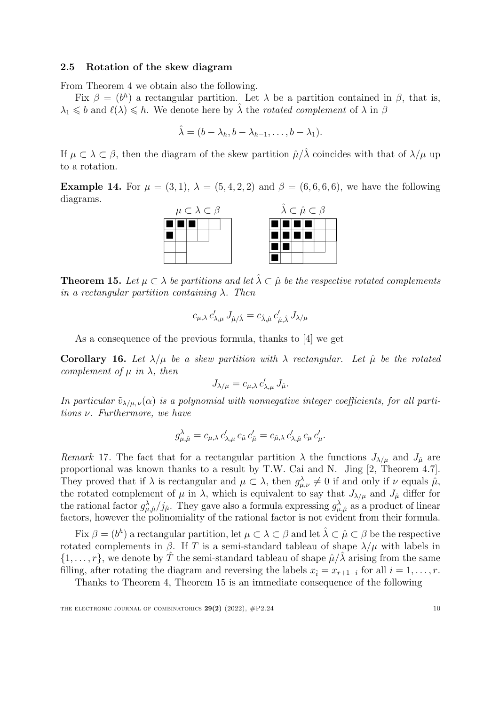### 2.5 Rotation of the skew diagram

From Theorem [4](#page-4-0) we obtain also the following.

Fix  $\beta = (b^h)$  a rectangular partition. Let  $\lambda$  be a partition contained in  $\beta$ , that is,  $\lambda_1 \leq b$  and  $\ell(\lambda) \leq h$ . We denote here by  $\hat{\lambda}$  the *rotated complement* of  $\lambda$  in  $\beta$ 

$$
\hat{\lambda} = (b - \lambda_h, b - \lambda_{h-1}, \dots, b - \lambda_1).
$$

If  $\mu \subset \lambda \subset \beta$ , then the diagram of the skew partition  $\hat{\mu}/\hat{\lambda}$  coincides with that of  $\lambda/\mu$  up to a rotation.

**Example 14.** For  $\mu = (3, 1), \lambda = (5, 4, 2, 2)$  and  $\beta = (6, 6, 6, 6)$ , we have the following diagrams.



<span id="page-9-0"></span>**Theorem 15.** Let  $\mu \subset \lambda$  be partitions and let  $\hat{\lambda} \subset \hat{\mu}$  be the respective rotated complements *in a rectangular partition containing* λ*. Then*

$$
c_{\mu,\lambda} c'_{\lambda,\mu} J_{\hat{\mu}/\hat{\lambda}} = c_{\hat{\lambda},\hat{\mu}} c'_{\hat{\mu},\hat{\lambda}} J_{\lambda/\mu}
$$

As a consequence of the previous formula, thanks to [[4](#page-19-2)] we get

<span id="page-9-1"></span>Corollary 16. Let  $\lambda/\mu$  be a skew partition with  $\lambda$  rectangular. Let  $\hat{\mu}$  be the rotated *complement of*  $\mu$  *in*  $\lambda$ *, then* 

$$
J_{\lambda/\mu} = c_{\mu,\lambda} c'_{\lambda,\mu} J_{\hat{\mu}}.
$$

*In particular*  $\tilde{v}_{\lambda/\mu,\nu}(\alpha)$  *is a polynomial with nonnegative integer coefficients, for all partitions* ν*. Furthermore, we have*

$$
g_{\mu,\hat{\mu}}^{\lambda} = c_{\mu,\lambda} c'_{\lambda,\mu} c_{\hat{\mu}} c'_{\hat{\mu}} = c_{\hat{\mu},\lambda} c'_{\lambda,\hat{\mu}} c_{\mu} c'_{\mu}.
$$

*Remark* 17. The fact that for a rectangular partition  $\lambda$  the functions  $J_{\lambda/\mu}$  and  $J_{\hat{\mu}}$  are proportional was known thanks to a result by T.W. Cai and N. Jing [[2](#page-19-6), Theorem 4.7]. They proved that if  $\lambda$  is rectangular and  $\mu \subset \lambda$ , then  $g_{\mu,\nu}^{\lambda} \neq 0$  if and only if  $\nu$  equals  $\hat{\mu}$ , the rotated complement of  $\mu$  in  $\lambda$ , which is equivalent to say that  $J_{\lambda/\mu}$  and  $J_{\hat{\mu}}$  differ for the rational factor  $g_{\mu,\hat{\mu}}^{\lambda}/j_{\hat{\mu}}$ . They gave also a formula expressing  $g_{\mu,\hat{\mu}}^{\lambda}$  as a product of linear factors, however the polinomiality of the rational factor is not evident from their formula.

Fix  $\beta = (b^h)$  a rectangular partition, let  $\mu \subset \lambda \subset \beta$  and let  $\hat{\lambda} \subset \hat{\mu} \subset \beta$  be the respective rotated complements in β. If *T* is a semi-standard tableau of shape λ*/µ* with labels in  $\{1, \ldots, r\}$ , we denote by *T* the semi-standard tableau of shape  $\hat{\mu}/\lambda$  arising from the same filling, after rotating the diagram and reversing the labels  $x_i = x_{r+1-i}$  for all  $i = 1, \ldots, r$ .

Thanks to Theorem [4](#page-4-0), Theorem [15](#page-9-0) is an immediate consequence of the following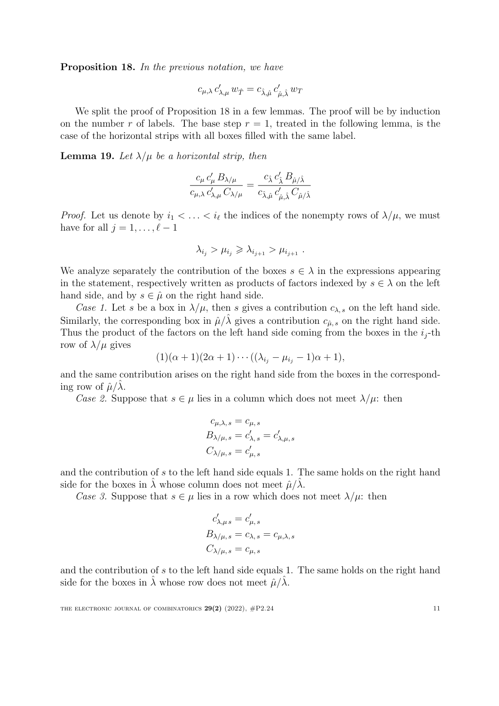<span id="page-10-0"></span>Proposition 18. *In the previous notation, we have*

$$
c_{\mu,\lambda}\,c'_{\lambda,\mu}\,w_{\hat{T}}=c_{\hat{\lambda},\hat{\mu}}\,c'_{\hat{\mu},\hat{\lambda}}\,w_T
$$

We split the proof of Proposition [18](#page-10-0) in a few lemmas. The proof will be by induction on the number r of labels. The base step  $r = 1$ , treated in the following lemma, is the case of the horizontal strips with all boxes filled with the same label.

<span id="page-10-1"></span>**Lemma 19.** Let  $\lambda/\mu$  be a horizontal strip, then

$$
\frac{c_\mu\,c'_\mu\,B_{\lambda/\mu}}{c_{\mu,\lambda}\,c'_{\lambda,\mu}\,C_{\lambda/\mu}}=\frac{c_{\hat{\lambda}}\,c'_{\hat{\lambda}}\,B_{\hat{\mu}/\hat{\lambda}}}{c_{\hat{\lambda},\hat{\mu}}\,c'_{\hat{\mu},\hat{\lambda}}\,C_{\hat{\mu}/\hat{\lambda}}}
$$

*Proof.* Let us denote by  $i_1 < \ldots < i_\ell$  the indices of the nonempty rows of  $\lambda/\mu$ , we must have for all  $j = 1, \ldots, \ell - 1$ 

$$
\lambda_{i_j} > \mu_{i_j} \geqslant \lambda_{i_{j+1}} > \mu_{i_{j+1}}.
$$

We analyze separately the contribution of the boxes  $s \in \lambda$  in the expressions appearing in the statement, respectively written as products of factors indexed by  $s \in \lambda$  on the left hand side, and by  $s \in \hat{\mu}$  on the right hand side.

*Case 1.* Let *s* be a box in  $\lambda/\mu$ , then *s* gives a contribution  $c_{\lambda,s}$  on the left hand side. Similarly, the corresponding box in  $\hat{\mu}/\hat{\lambda}$  gives a contribution  $c_{\hat{\mu},s}$  on the right hand side. Thus the product of the factors on the left hand side coming from the boxes in the  $i_j$ -th row of  $\lambda/\mu$  gives

$$
(1)(\alpha+1)(2\alpha+1)\cdots((\lambda_{i_j}-\mu_{i_j}-1)\alpha+1),
$$

and the same contribution arises on the right hand side from the boxes in the corresponding row of  $\hat{\mu}/\lambda$ .

*Case* 2. Suppose that  $s \in \mu$  lies in a column which does not meet  $\lambda/\mu$ : then

$$
c_{\mu,\lambda,s} = c_{\mu,s}
$$
  
\n
$$
B_{\lambda/\mu,s} = c'_{\lambda,s} = c'_{\lambda,\mu,s}
$$
  
\n
$$
C_{\lambda/\mu,s} = c'_{\mu,s}
$$

and the contribution of *s* to the left hand side equals 1. The same holds on the right hand side for the boxes in  $\lambda$  whose column does not meet  $\hat{\mu}/\lambda$ .

*Case* 3. Suppose that  $s \in \mu$  lies in a row which does not meet  $\lambda/\mu$ : then

$$
c'_{\lambda,\mu s} = c'_{\mu,s}
$$
  
\n
$$
B_{\lambda/\mu,s} = c_{\lambda,s} = c_{\mu,\lambda,s}
$$
  
\n
$$
C_{\lambda/\mu,s} = c_{\mu,s}
$$

and the contribution of *s* to the left hand side equals 1. The same holds on the right hand side for the boxes in  $\hat{\lambda}$  whose row does not meet  $\hat{\mu}/\hat{\lambda}$ .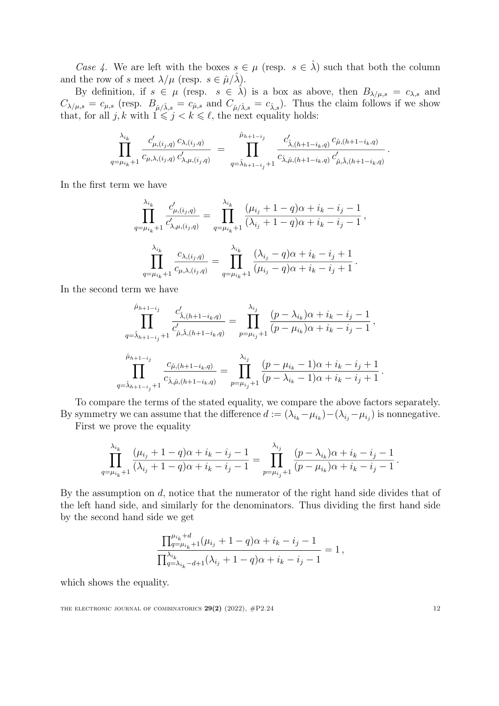*Case* 4. We are left with the boxes  $s \in \mu$  (resp.  $s \in \hat{\lambda}$ ) such that both the column and the row of *s* meet  $\lambda/\mu$  (resp.  $s \in \hat{\mu}/\hat{\lambda}$ ).

By definition, if  $s \in \mu$  (resp.  $s \in \hat{\lambda}$ ) is a box as above, then  $B_{\lambda/\mu,s} = c_{\lambda,s}$  and  $C_{\lambda/\mu,s} = c_{\mu,s}$  (resp.  $B_{\hat{\mu}/\hat{\lambda},s} = c_{\hat{\mu},s}$  and  $C_{\hat{\mu}/\hat{\lambda},s} = c_{\hat{\lambda},s}$ ). Thus the claim follows if we show that, for all  $j, k$  with  $1 \leq j \leq k \leq \ell$ , the next equality holds:

$$
\prod_{q=\mu_{i_k}+1}^{\lambda_{i_k}} \frac{c'_{\mu,(i_j,q)} c_{\lambda,(i_j,q)}}{c_{\mu,\lambda,(i_j,q)} c'_{\lambda,\mu,(i_j,q)}} = \prod_{q=\hat{\lambda}_{h+1-i_j}+1}^{\hat{\mu}_{h+1-i_j}} \frac{c'_{\hat{\lambda},(h+1-i_k,q)} c_{\hat{\mu},(h+1-i_k,q)}}{c_{\hat{\lambda},\hat{\mu},(h+1-i_k,q)} c'_{\hat{\mu},\hat{\lambda},(h+1-i_k,q)}}.
$$

In the first term we have

$$
\prod_{q=\mu_{i_k}+1}^{\lambda_{i_k}} \frac{c'_{\mu,(i_j,q)}}{c'_{\lambda,\mu,(i_j,q)}} = \prod_{q=\mu_{i_k}+1}^{\lambda_{i_k}} \frac{(\mu_{i_j}+1-q)\alpha+i_k-i_j-1}{(\lambda_{i_j}+1-q)\alpha+i_k-i_j-1},
$$
  

$$
\prod_{q=\mu_{i_k}+1}^{\lambda_{i_k}} \frac{c_{\lambda,(i_j,q)}}{c_{\mu,\lambda,(i_j,q)}} = \prod_{q=\mu_{i_k}+1}^{\lambda_{i_k}} \frac{(\lambda_{i_j}-q)\alpha+i_k-i_j+1}{(\mu_{i_j}-q)\alpha+i_k-i_j+1}.
$$

In the second term we have

$$
\prod_{q=\hat{\lambda}_{h+1-i_j}}^{\hat{\mu}_{h+1-i_j}} \frac{c'_{\hat{\lambda},(h+1-i_k,q)}}{c'_{\hat{\mu},\hat{\lambda},(h+1-i_k,q)}} = \prod_{p=\mu_{i_j}+1}^{\lambda_{i_j}} \frac{(p-\lambda_{i_k})\alpha + i_k - i_j - 1}{(p-\mu_{i_k})\alpha + i_k - i_j - 1},
$$
  

$$
\prod_{q=\hat{\lambda}_{h+1-i_j}+1}^{\hat{\mu}_{h+1-i_j}} \frac{c_{\hat{\mu},(h+1-i_k,q)}}{c_{\hat{\lambda},\hat{\mu},(h+1-i_k,q)}} = \prod_{p=\mu_{i_j}+1}^{\lambda_{i_j}} \frac{(p-\mu_{i_k}-1)\alpha + i_k - i_j + 1}{(p-\lambda_{i_k}-1)\alpha + i_k - i_j + 1}.
$$

To compare the terms of the stated equality, we compare the above factors separately. By symmetry we can assume that the difference  $d := (\lambda_{i_k} - \mu_{i_k}) - (\lambda_{i_j} - \mu_{i_j})$  is nonnegative.

First we prove the equality

$$
\prod_{q=\mu_{i_k}+1}^{\lambda_{i_k}} \frac{(\mu_{i_j}+1-q)\alpha+i_k-i_j-1}{(\lambda_{i_j}+1-q)\alpha+i_k-i_j-1} = \prod_{p=\mu_{i_j}+1}^{\lambda_{i_j}} \frac{(p-\lambda_{i_k})\alpha+i_k-i_j-1}{(p-\mu_{i_k})\alpha+i_k-i_j-1}.
$$

By the assumption on *d*, notice that the numerator of the right hand side divides that of the left hand side, and similarly for the denominators. Thus dividing the first hand side by the second hand side we get

$$
\frac{\prod_{q=\mu_{i_k}+1}^{\mu_{i_k}+d}(\mu_{i_j}+1-q)\alpha+i_k-i_j-1}{\prod_{q=\lambda_{i_k}-d+1}^{\lambda_{i_k}}(\lambda_{i_j}+1-q)\alpha+i_k-i_j-1}=1,
$$

which shows the equality.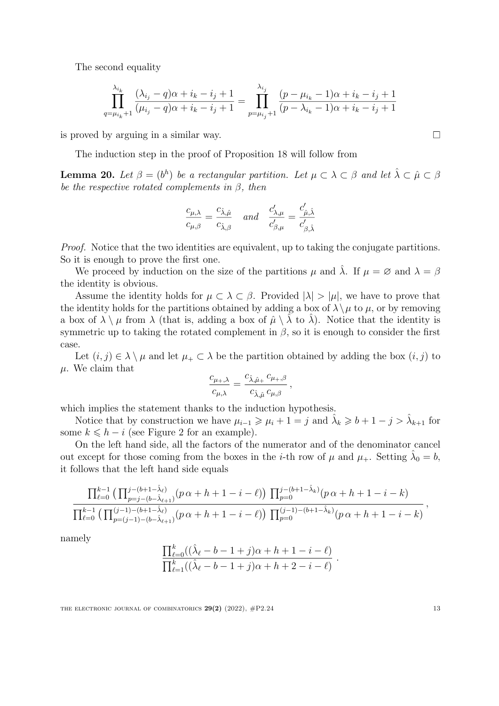The second equality

$$
\prod_{q=\mu_{i_k}+1}^{\lambda_{i_k}} \frac{(\lambda_{i_j}-q)\alpha+i_k-i_j+1}{(\mu_{i_j}-q)\alpha+i_k-i_j+1} = \prod_{p=\mu_{i_j}+1}^{\lambda_{i_j}} \frac{(p-\mu_{i_k}-1)\alpha+i_k-i_j+1}{(p-\lambda_{i_k}-1)\alpha+i_k-i_j+1}
$$

is proved by arguing in a similar way.

The induction step in the proof of Proposition [18](#page-10-0) will follow from

<span id="page-12-0"></span>**Lemma 20.** *Let*  $\beta = (b^h)$  *be a rectangular partition. Let*  $\mu \subset \lambda \subset \beta$  *and let*  $\hat{\lambda} \subset \hat{\mu} \subset \beta$ *be the respective rotated complements in* β*, then*

$$
\frac{c_{\mu,\lambda}}{c_{\mu,\beta}} = \frac{c_{\hat{\lambda},\hat{\mu}}}{c_{\hat{\lambda},\beta}} \quad and \quad \frac{c'_{\lambda,\mu}}{c'_{\beta,\mu}} = \frac{c'_{\hat{\mu},\hat{\lambda}}}{c'_{\beta,\hat{\lambda}}}
$$

*Proof.* Notice that the two identities are equivalent, up to taking the conjugate partitions. So it is enough to prove the first one.

We proceed by induction on the size of the partitions  $\mu$  and  $\hat{\lambda}$ . If  $\mu = \emptyset$  and  $\lambda = \beta$ the identity is obvious.

Assume the identity holds for  $\mu \subset \lambda \subset \beta$ . Provided  $|\lambda| > |\mu|$ , we have to prove that the identity holds for the partitions obtained by adding a box of  $\lambda \setminus \mu$  to  $\mu$ , or by removing a box of  $\lambda \setminus \mu$  from  $\lambda$  (that is, adding a box of  $\hat{\mu} \setminus \hat{\lambda}$  to  $\hat{\lambda}$ ). Notice that the identity is symmetric up to taking the rotated complement in  $\beta$ , so it is enough to consider the first case.

Let  $(i, j) \in \lambda \setminus \mu$  and let  $\mu_+ \subset \lambda$  be the partition obtained by adding the box  $(i, j)$  to *µ*. We claim that

$$
\frac{c_{\mu_+,\lambda}}{c_{\mu,\lambda}} = \frac{c_{\hat{\lambda},\hat{\mu}_+} c_{\mu_+,\beta}}{c_{\hat{\lambda},\hat{\mu}} c_{\mu,\beta}},
$$

which implies the statement thanks to the induction hypothesis.

Notice that by construction we have  $\mu_{i-1} \geq \mu_i + 1 = j$  and  $\hat{\lambda}_k \geq b + 1 - j > \hat{\lambda}_{k+1}$  for some  $k \leq h - i$  (see Figure [2](#page-13-0) for an example).

On the left hand side, all the factors of the numerator and of the denominator cancel out except for those coming from the boxes in the *i*-th row of  $\mu$  and  $\mu_+$ . Setting  $\lambda_0 = b$ , it follows that the left hand side equals

$$
\frac{\prod_{\ell=0}^{k-1} \left( \prod_{p=j-(b-\hat{\lambda}_{\ell+1})}^{j-(b+1-\hat{\lambda}_{\ell})} (p\alpha+h+1-i-\ell) \right) \prod_{p=0}^{j-(b+1-\hat{\lambda}_k)} (p\alpha+h+1-i-k)}{\prod_{\ell=0}^{k-1} \left( \prod_{p=(j-1)-(b+\hat{\lambda}_{\ell+1})}^{(j-1)-(b+1-\hat{\lambda}_{\ell})} (p\alpha+h+1-i-\ell) \right) \prod_{p=0}^{(j-1)-(b+1-\hat{\lambda}_k)} (p\alpha+h+1-i-k)},
$$

namely

$$
\frac{\prod_{\ell=0}^{k}((\hat{\lambda}_{\ell}-b-1+j)\alpha+h+1-i-\ell)}{\prod_{\ell=1}^{k}((\hat{\lambda}_{\ell}-b-1+j)\alpha+h+2-i-\ell)}
$$

*.*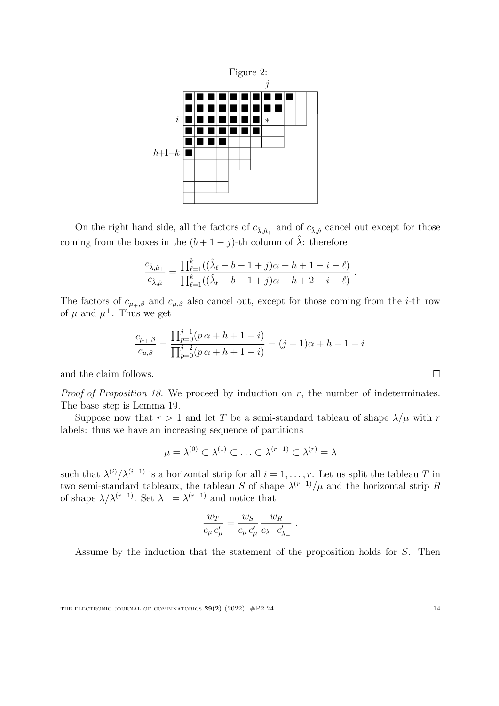<span id="page-13-0"></span>

On the right hand side, all the factors of  $c_{\hat{\lambda},\hat{\mu}_+}$  and of  $c_{\hat{\lambda},\hat{\mu}}$  cancel out except for those coming from the boxes in the  $(b+1-j)$ -th column of  $\hat{\lambda}$ : therefore

$$
\frac{c_{\hat{\lambda},\hat{\mu}_+}}{c_{\hat{\lambda},\hat{\mu}}} = \frac{\prod_{\ell=1}^k ((\hat{\lambda}_{\ell} - b - 1 + j)\alpha + h + 1 - i - \ell)}{\prod_{\ell=1}^k ((\hat{\lambda}_{\ell} - b - 1 + j)\alpha + h + 2 - i - \ell)}.
$$

The factors of  $c_{\mu_+,\beta}$  and  $c_{\mu,\beta}$  also cancel out, except for those coming from the *i*-th row of  $\mu$  and  $\mu^+$ . Thus we get

$$
\frac{c_{\mu_+,\beta}}{c_{\mu,\beta}} = \frac{\prod_{p=0}^{j-1} (p\alpha + h + 1 - i)}{\prod_{p=0}^{j-2} (p\alpha + h + 1 - i)} = (j-1)\alpha + h + 1 - i
$$

and the claim follows.

*Proof of Proposition [18](#page-10-0).* We proceed by induction on *r*, the number of indeterminates. The base step is Lemma [19](#page-10-1).

Suppose now that  $r > 1$  and let *T* be a semi-standard tableau of shape  $\lambda/\mu$  with *r* labels: thus we have an increasing sequence of partitions

$$
\mu = \lambda^{(0)} \subset \lambda^{(1)} \subset \ldots \subset \lambda^{(r-1)} \subset \lambda^{(r)} = \lambda
$$

such that  $\lambda^{(i)}/\lambda^{(i-1)}$  is a horizontal strip for all  $i = 1, \ldots, r$ . Let us split the tableau *T* in two semi-standard tableaux, the tableau *S* of shape  $\lambda^{(r-1)}/\mu$  and the horizontal strip *R* of shape  $\lambda/\lambda^{(r-1)}$ . Set  $\lambda_-\lambda^{(r-1)}$  and notice that

$$
\frac{w_T}{c_\mu c'_\mu} = \frac{w_S}{c_\mu c'_\mu} \frac{w_R}{c_{\lambda_-} c'_{\lambda_-}}.
$$

Assume by the induction that the statement of the proposition holds for *S*. Then

 $\Box$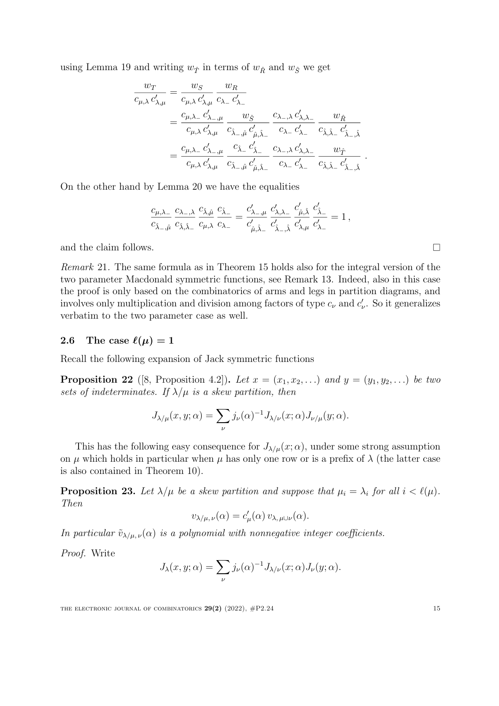using Lemma [19](#page-10-1) and writing  $w_{\hat{T}}$  in terms of  $w_{\hat{R}}$  and  $w_{\hat{S}}$  we get

$$
\begin{split} \frac{w_T}{c_{\mu,\lambda}\,c'_{\lambda,\mu}}&=\frac{w_S}{c_{\mu,\lambda}\,c'_{\lambda,\mu}}\,\frac{w_R}{c_{\lambda -} \,c'_{\lambda -}}\\ &=\frac{c_{\mu,\lambda -} \,c'_{\lambda -,\mu}}{c_{\mu,\lambda}\,c'_{\lambda,\mu}}\,\frac{w_{\hat{S}}}{c_{\hat{\lambda} -,\hat{\mu}}\,c'_{\hat{\mu},\hat{\lambda} -}}\,\frac{c_{\lambda -,\lambda}\,c'_{\lambda,\lambda -}}{c_{\lambda -} \,c'_{\lambda -}}\,\frac{w_{\hat{R}}}{c_{\hat{\lambda},\hat{\lambda} -}\,c'_{\hat{\lambda} -,\hat{\lambda}}}\\ &=\frac{c_{\mu,\lambda -} \,c'_{\lambda -,\mu}}{c_{\mu,\lambda}\,c'_{\lambda,\mu}}\,\frac{c_{\hat{\lambda} -} \,c'_{\hat{\lambda} -}}{c_{\hat{\lambda} -,\hat{\mu}}\,c'_{\hat{\mu},\hat{\lambda} -}}\,\frac{c_{\lambda -,\lambda}\,c'_{\lambda,\lambda -}}{c_{\lambda -} \,c'_{\lambda -}}\,\frac{w_{\hat{T}}}{c_{\hat{\lambda},\hat{\lambda} -}\,c'_{\hat{\lambda} -,\hat{\lambda}}} \ . \end{split}
$$

On the other hand by Lemma [20](#page-12-0) we have the equalities

$$
\frac{c_{\mu,\lambda_-}}{c_{\hat{\lambda}_{-},\hat{\mu}}} \frac{c_{\lambda_{-},\lambda}}{c_{\hat{\lambda},\hat{\lambda}_{-}}} \frac{c_{\hat{\lambda},\hat{\mu}}}{c_{\mu,\lambda}} \frac{c_{\hat{\lambda}_{-}}}{c_{\lambda_{-}}} = \frac{c'_{\lambda_{-},\mu}}{c'_{\hat{\mu},\hat{\lambda}_{-}}} \frac{c'_{\lambda,\lambda_{-}}}{c'_{\hat{\lambda}_{-},\hat{\lambda}}} \frac{c'_{\hat{\mu},\hat{\lambda}}}{c'_{\lambda,\mu}} \frac{c'_{\hat{\lambda}_{-}}}{c'_{\lambda_{-}}} = 1,
$$

and the claim follows.

<span id="page-14-1"></span>*Remark* 21*.* The same formula as in Theorem [15](#page-9-0) holds also for the integral version of the two parameter Macdonald symmetric functions, see Remark [13](#page-8-0). Indeed, also in this case the proof is only based on the combinatorics of arms and legs in partition diagrams, and involves only multiplication and division among factors of type  $c_{\nu}$  and  $c'_{\nu}$ . So it generalizes verbatim to the two parameter case as well.

# 2.6 The case  $\ell(\mu) = 1$

Recall the following expansion of Jack symmetric functions

**Proposition 22** ([[8,](#page-19-1) Proposition 4.2]). Let  $x = (x_1, x_2, ...)$  and  $y = (y_1, y_2, ...)$  be two *sets of indeterminates.* If  $\lambda/\mu$  *is a skew partition, then* 

$$
J_{\lambda/\mu}(x,y;\alpha) = \sum_{\nu} j_{\nu}(\alpha)^{-1} J_{\lambda/\nu}(x;\alpha) J_{\nu/\mu}(y;\alpha).
$$

This has the following easy consequence for  $J_{\lambda/\mu}(x;\alpha)$ , under some strong assumption on  $\mu$  which holds in particular when  $\mu$  has only one row or is a prefix of  $\lambda$  (the latter case is also contained in Theorem [10](#page-7-0)).

<span id="page-14-0"></span>**Proposition 23.** Let  $\lambda/\mu$  be a skew partition and suppose that  $\mu_i = \lambda_i$  for all  $i < \ell(\mu)$ . *Then*

$$
v_{\lambda/\mu,\nu}(\alpha) = c'_{\mu}(\alpha) v_{\lambda,\mu \cup \nu}(\alpha).
$$

*In particular*  $\tilde{v}_{\lambda/\mu,\nu}(\alpha)$  *is a polynomial with nonnegative integer coefficients.* 

*Proof.* Write

$$
J_{\lambda}(x, y; \alpha) = \sum_{\nu} j_{\nu}(\alpha)^{-1} J_{\lambda/\nu}(x; \alpha) J_{\nu}(y; \alpha).
$$

THE ELECTRONIC JOURNAL OF COMBINATORICS  $29(2)$   $(2022)$ ,  $\#P2.24$  15

 $\Box$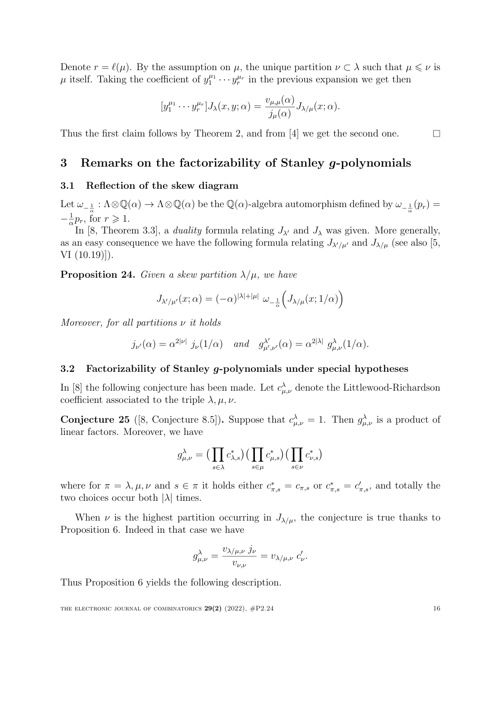Denote  $r = \ell(\mu)$ . By the assumption on  $\mu$ , the unique partition  $\nu \subset \lambda$  such that  $\mu \leq \nu$  is  $\mu$  itself. Taking the coefficient of  $y_1^{\mu_1} \cdots y_r^{\mu_r}$  in the previous expansion we get then

$$
[y_1^{\mu_1} \cdots y_r^{\mu_r}]J_{\lambda}(x,y;\alpha) = \frac{v_{\mu,\mu}(\alpha)}{j_{\mu}(\alpha)}J_{\lambda/\mu}(x;\alpha).
$$

Thus the first claim follows by Theorem [2](#page-3-0), and from [[4\]](#page-19-2) we get the second one.

# <span id="page-15-0"></span>3 Remarks on the factorizability of Stanley *g*-polynomials

## 3.1 Reflection of the skew diagram

Let  $\omega_{-\frac{1}{\alpha}} : \Lambda \otimes \mathbb{Q}(\alpha) \to \Lambda \otimes \mathbb{Q}(\alpha)$  be the  $\mathbb{Q}(\alpha)$ -algebra automorphism defined by  $\omega_{-\frac{1}{\alpha}}(p_r) =$  $-\frac{1}{\alpha}p_r$ , for  $r \geq 1$ .

In [[8](#page-19-1), Theorem 3.3], a *duality* formula relating  $J_{\lambda'}$  and  $J_{\lambda}$  was given. More generally, as an easy consequence we have the following formula relating  $J_{\lambda'/\mu'}$  and  $J_{\lambda/\mu}$  (see also [\[5](#page-19-0), VI (10.19)]).

**Proposition 24.** *Given a skew partition*  $\lambda/\mu$ *, we have* 

$$
J_{\lambda'/\mu'}(x;\alpha) = (-\alpha)^{|\lambda|+|\mu|} \omega_{-\frac{1}{\alpha}} \Big( J_{\lambda/\mu}(x;1/\alpha) \Big)
$$

*Moreover, for all partitions* ν *it holds*

$$
j_{\nu'}(\alpha) = \alpha^{2|\nu|} j_{\nu}(1/\alpha)
$$
 and  $g^{\lambda'}_{\mu',\nu'}(\alpha) = \alpha^{2|\lambda|} g^{\lambda}_{\mu,\nu}(1/\alpha)$ .

#### 3.2 Factorizability of Stanley *g*-polynomials under special hypotheses

In [[8](#page-19-1)] the following conjecture has been made. Let  $c^{\lambda}_{\mu,\nu}$  denote the Littlewood-Richardson coefficient associated to the triple  $\lambda, \mu, \nu$ .

<span id="page-15-1"></span>**Conjecture 25** ([[8,](#page-19-1) Conjecture 8.5]). Suppose that  $c^{\lambda}_{\mu,\nu} = 1$ . Then  $g^{\lambda}_{\mu,\nu}$  is a product of linear factors. Moreover, we have

$$
g_{\mu,\nu}^{\lambda} = \left(\prod_{s \in \lambda} c_{\lambda,s}^{*}\right)\left(\prod_{s \in \mu} c_{\mu,s}^{*}\right)\left(\prod_{s \in \nu} c_{\nu,s}^{*}\right)
$$

where for  $\pi = \lambda, \mu, \nu$  and  $s \in \pi$  it holds either  $c^*_{\pi,s} = c_{\pi,s}$  or  $c^*_{\pi,s} = c'_{\pi,s}$ , and totally the two choices occur both *|*λ*|* times.

When  $\nu$  is the highest partition occurring in  $J_{\lambda/\mu}$ , the conjecture is true thanks to Proposition [6.](#page-5-0) Indeed in that case we have

$$
g_{\mu,\nu}^{\lambda} = \frac{v_{\lambda/\mu,\nu} \; j_{\nu}}{v_{\nu,\nu}} = v_{\lambda/\mu,\nu} \; c_{\nu}'.
$$

Thus Proposition [6](#page-5-0) yields the following description.

 $\Box$ 

THE ELECTRONIC JOURNAL OF COMBINATORICS  $29(2)$  (2022),  $\#P2.24$  16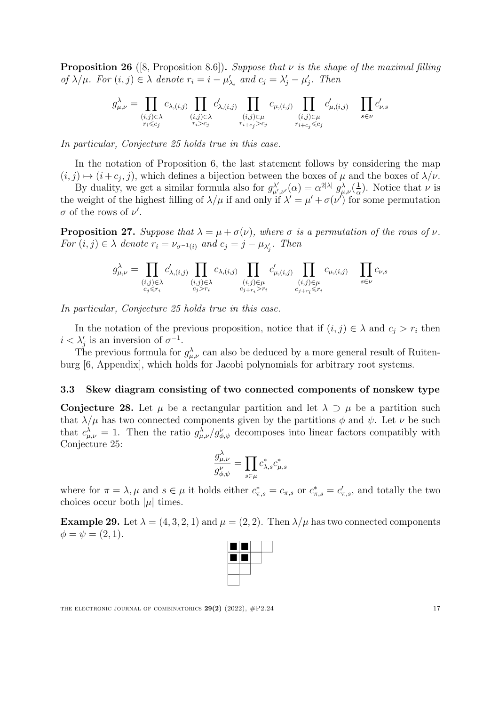<span id="page-16-2"></span>Proposition 26 ([[8,](#page-19-1) Proposition 8.6]). *Suppose that* ν *is the shape of the maximal filling of*  $\lambda/\mu$ *. For*  $(i, j) \in \lambda$  *denote*  $r_i = i - \mu'_{\lambda_i}$  *and*  $c_j = \lambda'_j - \mu'_j$ *. Then* 

$$
g_{\mu,\nu}^{\lambda} = \prod_{\substack{(i,j)\in\lambda\\ r_i\leqslant c_j}} c_{\lambda,(i,j)} \prod_{\substack{(i,j)\in\lambda\\ r_i>c_j}} c'_{\lambda,(i,j)} \prod_{\substack{(i,j)\in\mu\\ r_{i+c_j}>c_j}} c_{\mu,(i,j)} \prod_{\substack{(i,j)\in\mu\\ r_{i+c_j}\leqslant c_j}} c'_{\mu,(i,j)} \prod_{s\in\nu} c'_{\nu,s}
$$

*In particular, Conjecture [25](#page-15-1) holds true in this case.*

In the notation of Proposition [6](#page-5-0), the last statement follows by considering the map  $(i, j) \mapsto (i + c_j, j)$ , which defines a bijection between the boxes of  $\mu$  and the boxes of  $\lambda/\nu$ .

By duality, we get a similar formula also for  $g_{\mu',\nu'}^{\lambda'}(\alpha) = \alpha^{2|\lambda|} g_{\mu,\nu}^{\lambda}(\frac{1}{\alpha})$ . Notice that  $\nu$  is the weight of the highest filling of  $\lambda/\mu$  if and only if  $\lambda' = \mu' + \sigma(\nu')$  for some permutation  $\sigma$  of the rows of  $\nu'$ .

<span id="page-16-1"></span>**Proposition 27.** *Suppose that*  $\lambda = \mu + \sigma(\nu)$ *, where*  $\sigma$  *is a permutation of the rows of*  $\nu$ *. For*  $(i, j) \in \lambda$  *denote*  $r_i = \nu_{\sigma^{-1}(i)}$  *and*  $c_j = j - \mu_{\lambda'_j}$ *. Then* 

$$
g_{\mu,\nu}^{\lambda} = \prod_{\substack{(i,j)\in\lambda\\c_j\leqslant r_i}}c_{\lambda,(i,j)}'\prod_{\substack{(i,j)\in\lambda\\c_j>r_i}}c_{\lambda,(i,j)}\prod_{\substack{(i,j)\in\mu\\c_{j+r_i}>r_i}}c_{\mu,(i,j)}'\prod_{\substack{(i,j)\in\mu\\c_{j+r_i}\leqslant r_i}}c_{\mu,(i,j)}\prod_{s\in\nu}c_{\nu,s}
$$

*In particular, Conjecture [25](#page-15-1) holds true in this case.*

In the notation of the previous proposition, notice that if  $(i, j) \in \lambda$  and  $c_j > r_i$  then  $i < \lambda'_j$  is an inversion of  $\sigma^{-1}$ .

The previous formula for  $g_{\mu,\nu}^{\lambda}$  can also be deduced by a more general result of Ruitenburg [[6](#page-19-7), Appendix], which holds for Jacobi polynomials for arbitrary root systems.

### 3.3 Skew diagram consisting of two connected components of nonskew type

<span id="page-16-0"></span>Conjecture 28. Let  $\mu$  be a rectangular partition and let  $\lambda \supset \mu$  be a partition such that  $\lambda/\mu$  has two connected components given by the partitions  $\phi$  and  $\psi$ . Let  $\nu$  be such that  $c^{\lambda}_{\mu,\nu} = 1$ . Then the ratio  $g^{\lambda}_{\mu,\nu}/g^{\nu}_{\phi,\psi}$  decomposes into linear factors compatibly with Conjecture [25](#page-15-1):

$$
\frac{g_{\mu,\nu}^{\lambda}}{g_{\phi,\psi}^{\nu}} = \prod_{s \in \mu} c_{\lambda,s}^{*} c_{\mu,s}^{*}
$$

where for  $\pi = \lambda$ ,  $\mu$  and  $s \in \mu$  it holds either  $c^*_{\pi,s} = c_{\pi,s}$  or  $c^*_{\pi,s} = c'_{\pi,s}$ , and totally the two choices occur both  $|\mu|$  times.

**Example 29.** Let  $\lambda = (4, 3, 2, 1)$  and  $\mu = (2, 2)$ . Then  $\lambda/\mu$  has two connected components  $\phi = \psi = (2, 1).$ 

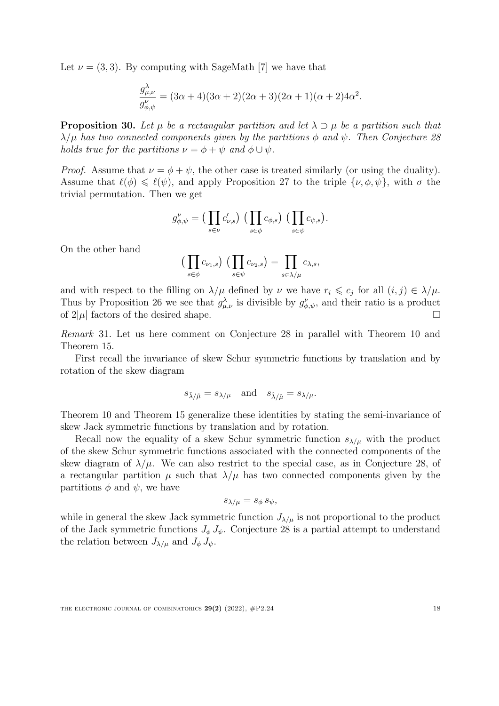Let  $\nu = (3, 3)$ . By computing with SageMath [[7\]](#page-19-3) we have that

$$
\frac{g_{\mu,\nu}^{\lambda}}{g_{\phi,\psi}^{\nu}} = (3\alpha + 4)(3\alpha + 2)(2\alpha + 3)(2\alpha + 1)(\alpha + 2)4\alpha^{2}.
$$

**Proposition 30.** Let  $\mu$  be a rectangular partition and let  $\lambda \supset \mu$  be a partition such that  $\lambda/\mu$  *has two connected components given by the partitions*  $\phi$  *and*  $\psi$ *. Then Conjecture* [28](#page-16-0) *holds true for the partitions*  $\nu = \phi + \psi$  *and*  $\phi \cup \psi$ *.* 

*Proof.* Assume that  $\nu = \phi + \psi$ , the other case is treated similarly (or using the duality). Assume that  $\ell(\phi) \leq \ell(\psi)$ , and apply Proposition [27](#page-16-1) to the triple  $\{\nu, \phi, \psi\}$ , with  $\sigma$  the trivial permutation. Then we get

$$
g_{\phi,\psi}^{\nu} = \left(\prod_{s \in \nu} c_{\nu,s}'\right) \left(\prod_{s \in \phi} c_{\phi,s}\right) \left(\prod_{s \in \psi} c_{\psi,s}\right).
$$

On the other hand

$$
\left(\prod_{s\in\phi}c_{\nu_1,s}\right)\left(\prod_{s\in\psi}c_{\nu_2,s}\right)=\prod_{s\in\lambda/\mu}c_{\lambda,s},
$$

and with respect to the filling on  $\lambda/\mu$  defined by  $\nu$  we have  $r_i \leq c_j$  for all  $(i, j) \in \lambda/\mu$ . Thus by Proposition [26](#page-16-2) we see that  $g_{\mu,\nu}^{\lambda}$  is divisible by  $g_{\phi,\psi}^{\nu}$ , and their ratio is a product of  $2|\mu|$  factors of the desired shape.  $\Box$ 

*Remark* 31*.* Let us here comment on Conjecture [28](#page-16-0) in parallel with Theorem [10](#page-7-0) and Theorem [15](#page-9-0).

First recall the invariance of skew Schur symmetric functions by translation and by rotation of the skew diagram

$$
s_{\tilde{\lambda}/\tilde{\mu}} = s_{\lambda/\mu} \quad \text{and} \quad s_{\hat{\lambda}/\hat{\mu}} = s_{\lambda/\mu}.
$$

Theorem [10](#page-7-0) and Theorem [15](#page-9-0) generalize these identities by stating the semi-invariance of skew Jack symmetric functions by translation and by rotation.

Recall now the equality of a skew Schur symmetric function  $s_{\lambda/\mu}$  with the product of the skew Schur symmetric functions associated with the connected components of the skew diagram of  $\lambda/\mu$ . We can also restrict to the special case, as in Conjecture [28,](#page-16-0) of a rectangular partition  $\mu$  such that  $\lambda/\mu$  has two connected components given by the partitions  $\phi$  and  $\psi$ , we have

$$
s_{\lambda/\mu}=s_{\phi}\,s_{\psi},
$$

while in general the skew Jack symmetric function  $J_{\lambda/\mu}$  is not proportional to the product of the Jack symmetric functions  $J_{\phi} J_{\psi}$ . Conjecture [28](#page-16-0) is a partial attempt to understand the relation between  $J_{\lambda/\mu}$  and  $J_{\phi}$   $J_{\psi}$ .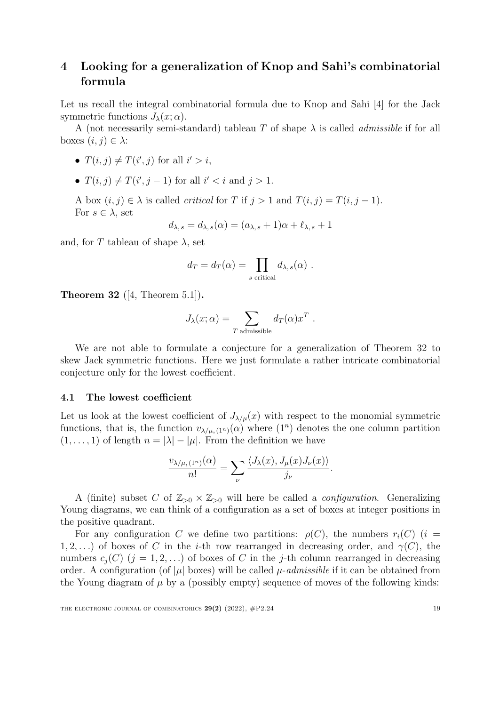# <span id="page-18-0"></span>4 Looking for a generalization of Knop and Sahi's combinatorial formula

Let us recall the integral combinatorial formula due to Knop and Sahi [\[4\]](#page-19-2) for the Jack symmetric functions  $J_{\lambda}(x; \alpha)$ .

A (not necessarily semi-standard) tableau *T* of shape λ is called *admissible* if for all boxes  $(i, j) \in \lambda$ :

- $T(i, j) \neq T(i', j)$  for all  $i' > i$ ,
- $T(i, j) \neq T(i', j 1)$  for all  $i' < i$  and  $j > 1$ .

A box  $(i, j) \in \lambda$  is called *critical* for *T* if  $j > 1$  and  $T(i, j) = T(i, j - 1)$ . For  $s \in \lambda$ , set

$$
d_{\lambda,s} = d_{\lambda,s}(\alpha) = (a_{\lambda,s} + 1)\alpha + \ell_{\lambda,s} + 1
$$

and, for *T* tableau of shape  $\lambda$ , set

$$
d_T = d_T(\alpha) = \prod_{s \text{ critical}} d_{\lambda, s}(\alpha) .
$$

<span id="page-18-1"></span>**Theorem 32** ([[4,](#page-19-2) Theorem 5.1]).

$$
J_{\lambda}(x;\alpha) = \sum_{T \text{ admissible}} d_T(\alpha) x^T.
$$

We are not able to formulate a conjecture for a generalization of Theorem [32](#page-18-1) to skew Jack symmetric functions. Here we just formulate a rather intricate combinatorial conjecture only for the lowest coefficient.

#### 4.1 The lowest coefficient

Let us look at the lowest coefficient of  $J_{\lambda/\mu}(x)$  with respect to the monomial symmetric functions, that is, the function  $v_{\lambda/\mu,(1^n)}(\alpha)$  where  $(1^n)$  denotes the one column partition  $(1, \ldots, 1)$  of length  $n = |\lambda| - |\mu|$ . From the definition we have

$$
\frac{v_{\lambda/\mu,(1^n)}(\alpha)}{n!} = \sum_{\nu} \frac{\langle J_{\lambda}(x), J_{\mu}(x)J_{\nu}(x) \rangle}{j_{\nu}}.
$$

A (finite) subset *C* of  $\mathbb{Z}_{>0} \times \mathbb{Z}_{>0}$  will here be called a *configuration*. Generalizing Young diagrams, we can think of a configuration as a set of boxes at integer positions in the positive quadrant.

For any configuration *C* we define two partitions:  $\rho(C)$ , the numbers  $r_i(C)$  (*i* = 1, 2, ...) of boxes of *C* in the *i*-th row rearranged in decreasing order, and  $\gamma(C)$ , the numbers  $c_i(C)$  ( $j = 1, 2, \ldots$ ) of boxes of C in the *j*-th column rearranged in decreasing order. A configuration (of  $|\mu|$  boxes) will be called  $\mu$ -*admissible* if it can be obtained from the Young diagram of  $\mu$  by a (possibly empty) sequence of moves of the following kinds: